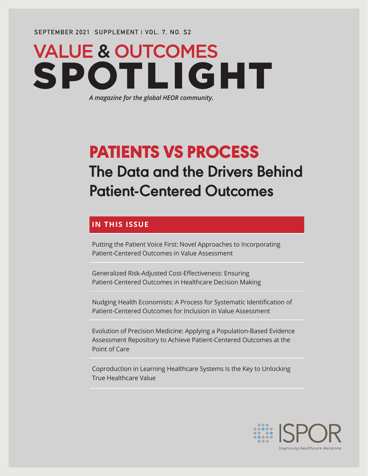**SEPTEMBER 2021 SUPPLEMENT | VOL. 7, NO. S2**

# **VALUE & OUTCOMES** SPO<sub>1</sub> **TLIGHT**

*A magazine for the global HEOR community.*

# PATIENTS VS PROCESS **The Data and the Drivers Behind Patient-Centered Outcomes**

### **IN THIS ISSUE**

Putting the Patient Voice First: Novel Approaches to Incorporating Patient-Centered Outcomes in Value Assessment

Generalized Risk-Adjusted Cost-Effectiveness: Ensuring Patient-Centered Outcomes in Healthcare Decision Making

Nudging Health Economists: A Process for Systematic Identification of Patient-Centered Outcomes for Inclusion in Value Assessment

Evolution of Precision Medicine: Applying a Population-Based Evidence Assessment Repository to Achieve Patient-Centered Outcomes at the Point of Care

Coproduction in Learning Healthcare Systems Is the Key to Unlocking True Healthcare Value

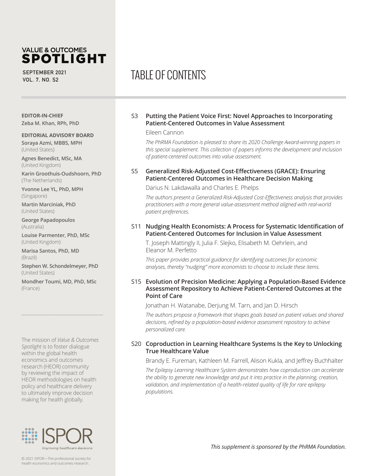### **VALUE & OUTCOMES SPOTLIGHT**

**SEPTEMBER 2021 VOL. 7, NO. S2**

#### **EDITOR-IN-CHIEF Zeba M. Khan, RPh, PhD**

#### **EDITORIAL ADVISORY BOARD**

**Soraya Azmi, MBBS, MPH** (United States)

**Agnes Benedict, MSc, MA**  (United Kingdom)

**Karin Groothuis-Oudshoorn, PhD**  (The Netherlands)

**Yvonne Lee YL, PhD, MPH**  (Singapore)

**Martin Marciniak, PhD**  (United States)

**George Papadopoulos**  (Australia)

**Louise Parmenter, PhD, MSc**  (United Kingdom)

**Marisa Santos, PhD, MD**  (Brazil)

**Stephen W. Schondelmeyer, PhD**  (United States)

**Mondher Toumi, MD, PhD, MSc**  (France)

The mission of *Value & Outcomes Spotlight* is to foster dialogue within the global health economics and outcomes research (HEOR) community by reviewing the impact of HEOR methodologies on health policy and healthcare delivery to ultimately improve decision making for health globally.



# TABLE OF CONTENTS

#### S3 **Putting the Patient Voice First: Novel Approaches to Incorporating Patient-Centered Outcomes in Value Assessment**

#### Eileen Cannon

*The PhRMA Foundation is pleased to share its 2020 Challenge Award-winning papers in this special supplement. This collection of papers informs the development and inclusion of patient-centered outcomes into value assessment.*

#### S5 **Generalized Risk-Adjusted Cost-Effectiveness (GRACE): Ensuring Patient-Centered Outcomes in Healthcare Decision Making**

Darius N. Lakdawalla and Charles E. Phelps

*The authors present a Generalized Risk-Adjusted Cost-Effectiveness analysis that provides practitioners with a more general value-assessment method aligned with real-world patient preferences.* 

#### S11 **Nudging Health Economists: A Process for Systematic Identification of Patient-Centered Outcomes for Inclusion in Value Assessment**

T. Joseph Mattingly II, Julia F. Slejko, Elisabeth M. Oehrlein, and Eleanor M. Perfetto

This paper provides practical guidance for identifying outcomes for economic analyses, thereby "nudging" more economists to choose to include these items.

#### S15 **Evolution of Precision Medicine: Applying a Population-Based Evidence Assessment Repository to Achieve Patient-Centered Outcomes at the Point of Care**

Jonathan H. Watanabe, Derjung M. Tarn, and Jan D. Hirsch

*The authors propose a framework that shapes goals based on patient values and shared decisions, refined by a population-based evidence assessment repository to achieve personalized care.*

#### S20 **Coproduction in Learning Healthcare Systems Is the Key to Unlocking True Healthcare Value**

Brandy E. Fureman, Kathleen M. Farrell, Alison Kukla, and Jeffrey Buchhalter

*The Epilepsy Learning Healthcare System demonstrates how coproduction can accelerate the ability to generate new knowledge and put it into practice in the planning, creation, validation, and implementation of a health-related quality of life for rare epilepsy populations.*

*This supplement is sponsored by the PhRMA Foundation.*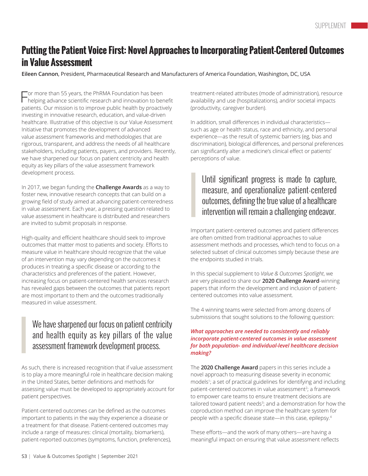# **Putting the Patient Voice First: Novel Approaches to Incorporating Patient-Centered Outcomes in Value Assessment**

**Eileen Cannon**, President, Pharmaceutical Research and Manufacturers of America Foundation, Washington, DC, USA

For more than 55 years, the PhRMA Foundation has been helping advance scientific research and innovation to benefit patients. Our mission is to improve public health by proactively investing in innovative research, education, and value-driven healthcare. Illustrative of this objective is our Value Assessment Initiative that promotes the development of advanced value assessment frameworks and methodologies that are rigorous, transparent, and address the needs of all healthcare stakeholders, including patients, payers, and providers. Recently, we have sharpened our focus on patient centricity and health equity as key pillars of the value assessment framework development process.

In 2017, we began funding the **Challenge Awards** as a way to foster new, innovative research concepts that can build on a growing field of study aimed at advancing patient-centeredness in value assessment. Each year, a pressing question related to value assessment in healthcare is distributed and researchers are invited to submit proposals in response.

High-quality and efficient healthcare should seek to improve outcomes that matter most to patients and society. Efforts to measure value in healthcare should recognize that the value of an intervention may vary depending on the outcomes it produces in treating a specific disease or according to the characteristics and preferences of the patient. However, increasing focus on patient-centered health services research has revealed gaps between the outcomes that patients report are most important to them and the outcomes traditionally measured in value assessment.

# We have sharpened our focus on patient centricity and health equity as key pillars of the value assessment framework development process.

As such, there is increased recognition that if value assessment is to play a more meaningful role in healthcare decision making in the United States, better definitions and methods for assessing value must be developed to appropriately account for patient perspectives.

Patient-centered outcomes can be defined as the outcomes important to patients in the way they experience a disease or a treatment for that disease. Patient-centered outcomes may include a range of measures: clinical (mortality, biomarkers), patient-reported outcomes (symptoms, function, preferences), treatment-related attributes (mode of administration), resource availability and use (hospitalizations), and/or societal impacts (productivity, caregiver burden).

In addition, small differences in individual characteristics such as age or health status, race and ethnicity, and personal experience—as the result of systemic barriers (eg, bias and discrimination), biological differences, and personal preferences can significantly alter a medicine's clinical effect or patients' perceptions of value.

# Until significant progress is made to capture, measure, and operationalize patient-centered outcomes, defining the true value of a healthcare intervention will remain a challenging endeavor.

Important patient-centered outcomes and patient differences are often omitted from traditional approaches to value assessment methods and processes, which tend to focus on a selected subset of clinical outcomes simply because these are the endpoints studied in trials.

In this special supplement to *Value & Outcomes Spotlight*, we are very pleased to share our **2020 Challenge Award**-winning papers that inform the development and inclusion of patientcentered outcomes into value assessment.

The 4 winning teams were selected from among dozens of submissions that sought solutions to the following question:

#### *What approaches are needed to consistently and reliably incorporate patient-centered outcomes in value assessment for both population- and individual-level healthcare decision making?*

The **2020 Challenge Award** papers in this series include a novel approach to measuring disease severity in economic models1 ; a set of practical guidelines for identifying and including patient-centered outcomes in value assessment<sup>2</sup>; a framework to empower care teams to ensure treatment decisions are tailored toward patient needs<sup>3</sup>; and a demonstration for how the coproduction method can improve the healthcare system for people with a specific disease state—in this case, epilepsy.<sup>4</sup>

These efforts—and the work of many others—are having a meaningful impact on ensuring that value assessment reflects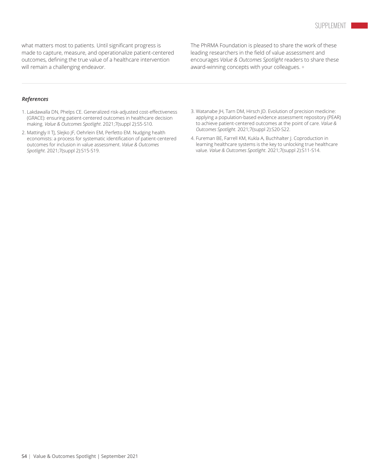what matters most to patients. Until significant progress is made to capture, measure, and operationalize patient-centered outcomes, defining the true value of a healthcare intervention will remain a challenging endeavor.

The PhRMA Foundation is pleased to share the work of these leading researchers in the field of value assessment and encourages *Value & Outcomes Spotlight* readers to share these award-winning concepts with your colleagues. **•**

#### *References*

- 1. Lakdawalla DN, Phelps CE. Generalized risk-adjusted cost-effectiveness (GRACE): ensuring patient-centered outcomes in healthcare decision making. *Value & Outcomes Spotlight*. 2021;7(suppl 2):S5-S10.
- 2. Mattingly II TJ, Slejko JF, Oehrlein EM, Perfetto EM. Nudging health economists: a process for systematic identification of patient-centered outcomes for inclusion in value assessment. *Value & Outcomes Spotlight*. 2021;7(suppl 2):S15-S19.
- 3. Watanabe JH, Tarn DM, Hirsch JD. Evolution of precision medicine: applying a population-based evidence assessment repository (PEAR) to achieve patient-centered outcomes at the point of care. *Value & Outcomes Spotlight*. 2021;7(suppl 2):S20-S22.
- 4. Fureman BE, Farrell KM, Kukla A, Buchhalter J. Coproduction in learning healthcare systems is the key to unlocking true healthcare value. *Value & Outcomes Spotlight*. 2021;7(suppl 2):S11-S14.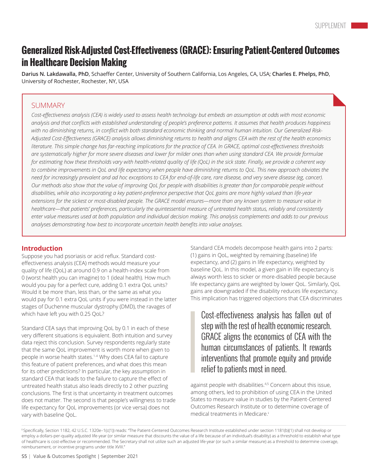# **Generalized Risk-Adjusted Cost-Effectiveness (GRACE): Ensuring Patient-Centered Outcomes in Healthcare Decision Making**

**Darius N. Lakdawalla, PhD**, Schaeffer Center, University of Southern California, Los Angeles, CA, USA; **Charles E. Phelps, PhD**, University of Rochester, Rochester, NY, USA

#### **SUMMARY**

Cost-effectiveness analysis (CEA) is widely used to assess health technology but embeds an assumption at odds with most economic analysis and that conflicts with established understanding of people's preference patterns. It assumes that health produces happiness with no diminishing returns, in conflict with both standard economic thinking and normal human intuition. Our Generalized Risk-Adjusted Cost-Effectiveness (GRACE) analysis allows diminishing returns to health and aligns CEA with the rest of the health economics literature. This simple change has far-reaching implications for the practice of CEA. In GRACE, optimal cost-effectiveness thresholds are systematically higher for more severe diseases and lower for milder ones than when using standard CEA. We provide formulae for estimating how these thresholds vary with health-related quality of life (QoL) in the sick state. Finally, we provide a coherent way to combine improvements in QoL and life expectancy when people have diminishing returns to QoL. This new approach obviates the need for increasingly prevalent and ad hoc exceptions to CEA for end-of-life care, rare disease, and very severe disease (eg, cancer). Our methods also show that the value of improving QoL for people with disabilities is greater than for comparable people without disabilities, while also incorporating a key patient-preference perspective that QoL gains are more highly valued than life-year extensions for the sickest or most-disabled people. The GRACE model ensures—more than any known system to measure value in healthcare—that patients' preferences, particularly the quintessential measure of untreated health status, reliably and consistently enter value measures used at both population and individual decision making. This analysis complements and adds to our previous *analyses demonstrating how best to incorporate uncertain health benefits into value analyses.*

#### **Introduction**

Suppose you had psoriasis or acid reflux. Standard costeffectiveness analysis (CEA) methods would measure your quality of life (QoL) at around 0.9 on a health-index scale from 0 (worst health you can imagine) to 1 (ideal health). How much would you pay for a perfect cure, adding 0.1 extra QoL units? Would it be more than, less than, or the same as what you would pay for 0.1 extra QoL units if you were instead in the latter stages of Duchenne muscular dystrophy (DMD), the ravages of which have left you with 0.25 QoL?

Standard CEA says that improving QoL by 0.1 in each of these very different situations is equivalent. Both intuition and survey data reject this conclusion. Survey respondents regularly state that the same QoL improvement is worth more when given to people in worse health states.<sup>1-4</sup> Why does CEA fail to capture this feature of patient preferences, and what does this mean for its other predictions? In particular, the key assumption in standard CEA that leads to the failure to capture the effect of untreated health status also leads directly to 2 other puzzling conclusions. The first is that uncertainty in treatment outcomes does not matter. The second is that people's willingness to trade life expectancy for QoL improvements (or vice versa) does not vary with baseline QoL.

Standard CEA models decompose health gains into 2 parts: (1) gains in QoL, weighted by remaining (baseline) life expectancy, and (2) gains in life expectancy, weighted by baseline QoL. In this model, a given gain in life expectancy is always worth less to sicker or more-disabled people because life expectancy gains are weighted by lower QoL. Similarly, QoL gains are downgraded if the disability reduces life expectancy. This implication has triggered objections that CEA discriminates

Cost-effectiveness analysis has fallen out of step with the rest of health economic research. GRACE aligns the economics of CEA with the human circumstances of patients. It rewards interventions that promote equity and provide relief to patients most in need.

against people with disabilities.4,5 Concern about this issue, among others, led to prohibition of using CEA in the United States to measure value in studies by the Patient-Centered Outcomes Research Institute or to determine coverage of medical treatments in Medicare.<sup>i</sup>

<sup>&</sup>lt;sup>i</sup>Specifically, Section 1182, 42 U.S.C. 1320e-1(c(1)) reads: "The Patient-Centered Outcomes Research Institute established under section 1181(b)(1) shall not develop or employ a dollars-per-quality adjusted life-year (or similar measure that discounts the value of a life because of an individual's disability) as a threshold to establish what type of healthcare is cost-effective or recommended. The Secretary shall not utilize such an adjusted life-year (or such a similar measure) as a threshold to determine coverage, reimbursement, or incentive programs under title XVIII.''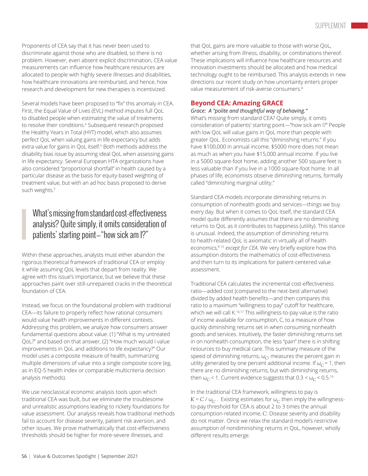Proponents of CEA say that it has never been used to discriminate against those who are disabled, so there is no problem. However, even absent explicit discrimination, CEA value measurements can influence how healthcare resources are allocated to people with highly severe illnesses and disabilities, how healthcare innovations are reimbursed, and hence, how research and development for new therapies is incentivized.

Several models have been proposed to "fix" this anomaly in CEA. First, the Equal Value of Lives (EVL) method imputes full QoL to disabled people when estimating the value of treatments to resolve their conditions.<sup>6</sup> Subsequent research proposed the Healthy Years in Total (HYT) model, which also assumes perfect QoL when valuing gains in life expectancy but adds extra value for gains in QoL itself.<sup>5</sup> Both methods address the disability bias issue by assuming ideal QoL when assessing gains in life expectancy. Several European HTA organizations have also considered "proportional shortfall" in health caused by a particular disease as the basis for equity-based weighting of treatment value, but with an ad hoc basis proposed to derive such weights.<sup>7</sup>

# What's missing from standard cost-effectiveness analysis? Quite simply, it omits consideration of patients' starting point—"how sick am I?"

Within these approaches, analysts must either abandon the rigorous theoretical framework of traditional CEA or employ it while assuming QoL levels that depart from reality. We agree with this issue's importance, but we believe that these approaches paint over still-unrepaired cracks in the theoretical foundation of CEA.

Instead, we focus on the foundational problem with traditional CEA—its failure to properly reflect how rational consumers would value health improvements in different contexts. Addressing this problem, we analyze how consumers answer fundamental questions about value: (1) "What is my untreated QoL?" and based on that answer, (2) "How much would I value improvements in QoL and additions to life expectancy?" Our model uses a composite measure of health, summarizing multiple dimensions of value into a single composite score (eg, as in EQ-5 health index or comparable multicriteria decision analysis methods).

We use neoclassical economic analysis tools upon which traditional CEA was built, but we eliminate the troublesome and unrealistic assumptions leading to rickety foundations for value assessment. Our analysis reveals how traditional methods fail to account for disease severity, patient risk aversion, and other issues. We prove mathematically that cost-effectiveness thresholds should be higher for more-severe illnesses, and

that QoL gains are more valuable to those with worse QoL, whether arising from illness, disability, or combinations thereof. These implications will influence how healthcare resources and innovation investments should be allocated and how medical technology ought to be reimbursed. This analysis extends in new directions our recent study on how uncertainty enters proper value measurement of risk-averse consumers.<sup>8</sup>

#### **Beyond CEA: Amazing GRACE**

#### *Grace: A "polite and thoughtful way of behaving."*

What's missing from standard CEA? Quite simply, it omits consideration of patients' starting point—"how sick am I?" People with low QoL will value gains in QoL more than people with greater QoL. Economists call this "diminishing returns." If you have \$100,000 in annual income, \$5000 more does not mean as much as when you have \$15,000 annual income. If you live in a 5000 square-foot home, adding another 500 square feet is less valuable than if you live in a 1000 square-foot home. In all phases of life, economists observe diminishing returns, formally called "diminishing marginal utility."

Standard CEA models incorporate diminishing returns in consumption of nonhealth goods and services—things we buy every day. But when it comes to QoL itself, the standard CEA model quite differently assumes that there are no diminishing returns to QoL as it contributes to happiness (utility). This stance is unusual. Indeed, the assumption of diminishing returns to health-related QoL is axiomatic in virtually all of health economics,9-15 *except for CEA*. We very briefly explore how this assumption distorts the mathematics of cost-effectiveness and then turn to its implications for patient-centered value assessment.

Traditional CEA calculates the incremental cost-effectiveness ratio—added cost (compared to the next-best alternative) divided by added health benefits—and then compares this ratio to a maximum "willingness to pay" cutoff for healthcare, which we will call K.<sup>16,17</sup> This willingness-to-pay value is the ratio of income available for consumption, C, to a measure of how quickly diminishing returns set in when consuming nonhealth goods and services. Intuitively, the faster diminishing returns set in on nonhealth consumption, the less "pain" there is in shifting resources to buy medical care. This summary measure of the speed of diminishing returns,  $\omega_{C}$ , measures the percent gain in utility generated by one percent additional income. If  $\omega_C = 1$ , then there are no diminishing returns, but with diminishing returns, then  $\omega_C$  < 1. Current evidence suggests that  $0.3 < \omega_C < 0.5$ .<sup>16</sup>

In the traditional CEA framework, willingness to pay is  $K = C / \omega_C$ . Existing estimates for  $\omega_C$  then imply the willingnessto-pay threshold for CEA is about 2 to 3 times the annual consumption-related income, *C*. Disease severity and disability do not matter. Once we relax the standard model's restrictive assumption of nondiminishing returns in QoL, however, wholly different results emerge.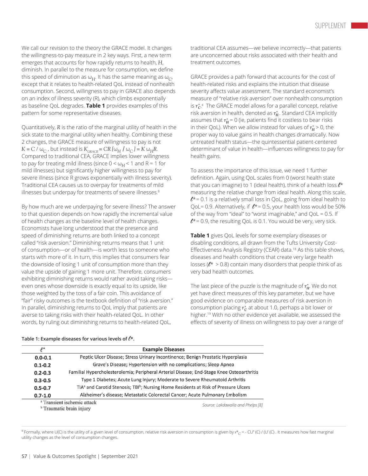We call our revision to the theory the GRACE model. It changes the willingness-to-pay measure in 2 key ways. First, a new term emerges that accounts for how rapidly returns to health, *H*, diminish. In parallel to the measure for consumption, we define this speed of diminution as  $\omega_H$ . It has the same meaning as  $\omega_C$ , except that it relates to health-related QoL instead of nonhealth consumption. Second, willingness to pay in GRACE also depends on an index of illness severity (R), which climbs exponentially as baseline QoL degrades. **Table 1** provides examples of this pattern for some representative diseases.

Quantitatively, *R* is the ratio of the marginal utility of health in the sick state to the marginal utility when healthy. Combining these 2 changes, the GRACE measure of willingness to pay is not *K* = *C* /  $\omega_C$ , but instead is  $K_{\text{GRACE}}$  = *CR* [ $\omega_H$  /  $\omega_C$ ] = *K*  $\omega_H$ *R*. Compared to traditional CEA, GRACE implies lower willingness to pay for treating mild illness (since  $0 < \omega_H < 1$  and  $R \approx 1$  for mild illnesses) but significantly higher willingness to pay for severe illness (since R grows exponentially with illness severity). Traditional CEA causes us to overpay for treatments of mild illnesses but underpay for treatments of severe illnesses.<sup>8</sup>

By how much are we underpaying for severe illness? The answer to that question depends on how rapidly the incremental value of health changes as the baseline level of health changes. Economists have long understood that the presence and speed of diminishing returns are both linked to a concept called "risk aversion." Diminishing returns means that 1 unit of consumption—or of health—is worth less to someone who starts with more of it. In turn, this implies that consumers fear the downside of losing 1 unit of consumption more than they value the upside of gaining 1 more unit. Therefore, consumers exhibiting diminishing returns would rather avoid taking risks even ones whose downside is exactly equal to its upside, like those weighted by the toss of a fair coin. This avoidance of "fair" risky outcomes is the textbook definition of "risk aversion." In parallel, diminishing returns to QoL imply that patients are averse to taking risks with their health-related QoL. In other words, by ruling out diminishing returns to health-related QoL,

traditional CEA assumes—we believe incorrectly—that patients are unconcerned about risks associated with their health and treatment outcomes.

GRACE provides a path forward that accounts for the cost of health-related risks and explains the intuition that disease severity affects value assessment. The standard economist's measure of "relative risk aversion" over nonhealth consumption is *r \* C* . *ii* The GRACE model allows for a parallel concept, relative risk aversion in health, denoted as *r\* <sup>H</sup>*. Standard CEA implicitly assumes that  $r_H^*$  = 0 (ie, patients find it costless to bear risks in their QoL). When we allow instead for values of  $r_H^*$  > 0, the proper way to value gains in health changes dramatically. Now untreated health status—the quintessential patient-centered determinant of value in health—influences willingness to pay for health gains.

To assess the importance of this issue, we need 1 further definition. Again, using QoL scales from 0 (worst health state that you can imagine) to 1 (ideal health), think of a health loss  $\ell^*$ measuring the relative change from ideal health. Along this scale,  $l^{\star}$  = 0.1 is a relatively small loss in QoL, going from ideal health to QoL= 0.9. Alternatively, if  $l^*= 0.5$ , your health loss would be 50% of the way from "ideal" to "worst imaginable," and QoL = 0.5. If  $l^*=0.9$ , the resulting QoL is 0.1. You would be very, very sick.

**Table 1** gives QoL levels for some exemplary diseases or disabling conditions, all drawn from the Tufts University Cost-Effectiveness Analysis Registry (CEAR) data.18 As this table shows, diseases and health conditions that create very large health losses ( $l^*$  > 0.8) contain many disorders that people think of as very bad health outcomes.

The last piece of the puzzle is the magnitude of *r\* <sup>H</sup>*. We do not yet have direct measures of this key parameter, but we have good evidence on comparable measures of risk aversion in consumption placing  $r_c^*$  at about 1.0, perhaps a bit lower or higher.<sup>19</sup> With no other evidence yet available, we assessed the effects of severity of illness on willingness to pay over a range of

| $\ell^*$    | <b>Example Diseases</b>                                                                                     |  |  |  |  |  |
|-------------|-------------------------------------------------------------------------------------------------------------|--|--|--|--|--|
| $0.0 - 0.1$ | Peptic Ulcer Disease; Stress Urinary Incontinence; Benign Prostatic Hyperplasia                             |  |  |  |  |  |
| $0.1 - 0.2$ | Grave's Disease; Hypertension with no complications; Sleep Apnea                                            |  |  |  |  |  |
| $0.2 - 0.3$ | Familial Hypercholesterolemia; Peripheral Arterial Disease; End-Stage Knee Osteoarthritis                   |  |  |  |  |  |
| $0.3 - 0.5$ | Type 1 Diabetes; Acute Lung Injury; Moderate to Severe Rheumatoid Arthritis                                 |  |  |  |  |  |
| $0.5 - 0.7$ | TIA <sup>a</sup> and Carotid Stenosis; TBI <sup>b</sup> ; Nursing Home Residents at Risk of Pressure Ulcers |  |  |  |  |  |
| $0.7 - 1.0$ | Alzheimer's disease; Metastatic Colorectal Cancer; Acute Pulmonary Embolism                                 |  |  |  |  |  |
|             | <sup>a</sup> Transient ischemic attack<br>Source: Lakdawalla and Phelps [8]                                 |  |  |  |  |  |
|             | <sup>b</sup> Traumatic brain injury                                                                         |  |  |  |  |  |

#### Table 1: Example diseases for various levels of  $\ell^*$ .

ii Formally, where U(C) is the utility of a given level of consumption, relative risk aversion in consumption is given by  $r^*_{\Omega}$  = - CU" (C) / (U' (C) . It measures how fast marginal utility changes as the level of consumption changes.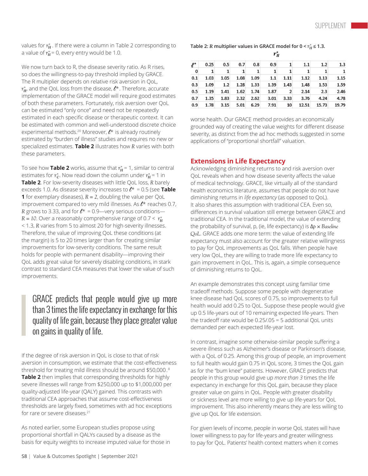values for  $r^*_H$ . If there were a column in Table 2 corresponding to a value of  $r_H^*$  = 0, every entry would be 1.0.

We now turn back to R, the disease severity ratio. As R rises, so does the willingness-to-pay threshold implied by GRACE. The R multiplier depends on relative risk aversion in QoL, *r\* <sup>H</sup>*,, and the QoL loss from the disease, l\*. Therefore, accurate implementation of the GRACE model will require good estimates of both these parameters. Fortunately, risk aversion over QoL can be estimated "only once" and need not be repeatedly estimated in each specific disease or therapeutic context. It can be estimated with common and well-understood discrete choice experimental methods.<sup>20</sup> Moreover,  $l^*$  is already routinely estimated by "burden of illness" studies and requires no new or specialized estimates. **Table 2** illustrates how *R* varies with both these parameters.

To see how Table 2 works, assume that  $r^*_H$  = 1, similar to central estimates for  $r_{\rm C}^*$ . Now read down the column under  $r_{\rm H}^*=1$  in **Table 2**. For low-severity diseases with little QoL loss, *R* barely exceeds 1.0. As disease severity increases to  $l^* = 0.5$  (see **Table 1** for exemplary diseases),  $R = 2$ , doubling the value per QoL improvement compared to very mild illnesses. As  $l^*$  reaches 0.7, *R* grows to 3.33, and for  $l^* = 0.9$ —very serious conditions—  $R = 10$ . Over a reasonably comprehensive range of  $0.7 < r_H^*$ < 1.3, *R* varies from 5 to almost 20 for high-severity illnesses. Therefore, the value of improving QoL these conditions (at the margin) is 5 to 20 times larger than for creating similar improvements for low-severity conditions. The same result holds for people with permanent disability—improving their QoL adds great value for severely disabling conditions, in stark contrast to standard CEA measures that lower the value of such improvements.

## GRACE predicts that people would give up more than 3 times the life expectancy in exchange for this quality of life gain, because they place greater value on gains in quality of life.

If the degree of risk aversion in QoL is close to that of risk aversion in consumption, we estimate that the cost-effectiveness threshold for treating mild illness should be around \$50,000. <sup>8</sup> **Table 2** then implies that corresponding thresholds for highly severe illnesses will range from \$250,000 up to \$1,000,000 per quality-adjusted life-year (QALY) gained. This contrasts with traditional CEA approaches that assume cost-effectiveness thresholds are largely fixed, sometimes with ad hoc exceptions for rare or severe diseases.<sup>21</sup>

As noted earlier, some European studies propose using proportional shortfall in QALYs caused by a disease as the basis for equity weights to increase imputed value for those in

|      | $r_H$        |      |      |      |      |       |       |       |  |  |
|------|--------------|------|------|------|------|-------|-------|-------|--|--|
| 0.25 | 0.5          | 0.7  | 0.8  | 0.9  |      | 1.1   | 1.2   | 1.3   |  |  |
| 1    | $\mathbf{1}$ | 1    | 1    | 1    | 1    | 1     | 1     |       |  |  |
| 1.03 | 1.05         | 1.08 | 1.09 | 1.1  | 1.11 | 1.12  | 1.13  | 1.15  |  |  |
| 1.09 | 1.2          | 1.28 | 1.33 | 1.39 | 1.43 | 1.48  | 1.53  | 1.59  |  |  |
| 1.19 | 1.41         | 1.62 | 1.74 | 1.87 | 2    | 2.14  | 2.3   | 2.46  |  |  |
| 1.35 | 1.83         | 2.32 | 2.62 | 3.01 | 3.33 | 3.76  | 4.24  | 4.78  |  |  |
| 1.78 | 3.15         | 5.01 | 6.29 | 7.91 | 10   | 12.51 | 15.73 | 19.79 |  |  |
|      |              |      |      |      |      |       |       |       |  |  |

worse health. Our GRACE method provides an economically grounded way of creating the value weights for different disease severity, as distinct from the ad hoc methods suggested in some applications of "proportional shortfall" valuation.

#### **Extensions in Life Expectancy**

Acknowledging diminishing returns to and risk aversion over QoL reveals when and how disease severity affects the value of medical technology. GRACE, like virtually all of the standard health economics literature, assumes that people do not have diminishing returns in *life expectancy* (as opposed to QoL). It also shares this assumption with traditional CEA. Even so, differences in survival valuation still emerge between GRACE and traditional CEA. In the traditional model, the value of extending the probability of survival, p, (ie, life expectancy) is Δ*p × Baseline QoL*. GRACE adds one more term: the value of extending life expectancy must also account for the greater relative willingness to pay for QoL improvements as QoL falls. When people have very low QoL, they are willing to trade more life expectancy to gain improvement in QoL. This is, again, a simple consequence of diminishing returns to QoL.

An example demonstrates this concept using familiar time tradeoff methods. Suppose some people with degenerative knee disease had QoL scores of 0.75, so improvements to full health would add 0.25 to QoL. Suppose these people would give up 0.5 life-years out of 10 remaining expected life-years. Then the tradeoff rate would be 0.25/.05 = 5 additional QoL units demanded per each expected life-year lost.

In contrast, imagine some otherwise-similar people suffering a severe illness such as Alzheimer's disease or Parkinson's disease, with a QoL of 0.25. Among this group of people, an improvement to full health would gain 0.75 in QoL score, 3 times the QoL gain as for the "bum knee" patients. However, GRACE predicts that people in this group would give up *more than 3* times the life expectancy in exchange for this QoL gain, because they place greater value on gains in QoL. People with greater disability or sickness level are more willing to give up life-years for QoL improvement. This also inherently means they are less willing to give up QoL for life extension.

For given levels of income, people in worse QoL states will have lower willingness to pay for life-years and greater willingness to pay for QoL. Patients' health context matters when it comes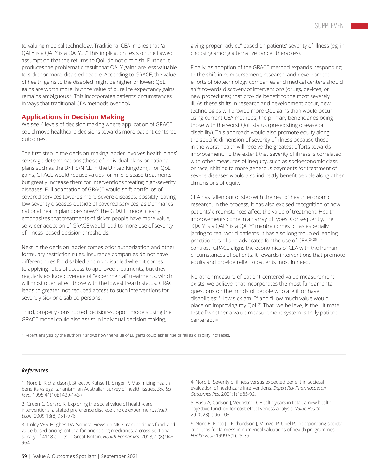to valuing medical technology. Traditional CEA implies that "a QALY is a QALY is a QALY…." This implication rests on the flawed assumption that the returns to QoL do not diminish. Further, it produces the problematic result that QALY gains are less valuable to sicker or more-disabled people. According to GRACE, the value of health gains to the disabled might be higher or lower: QoL gains are worth more, but the value of pure life expectancy gains remains ambiguous.<sup>iii</sup> This incorporates patients' circumstances in ways that traditional CEA methods overlook.

#### **Applications in Decision Making**

We see 4 levels of decision making where application of GRACE could move healthcare decisions towards more patient-centered outcomes.

The first step in the decision-making ladder involves health plans' coverage determinations (those of individual plans or national plans such as the BNHS/NICE in the United Kingdom). For QoL gains, GRACE would reduce values for mild-disease treatments, but greatly increase them for interventions treating high-severity diseases. Full adaptation of GRACE would shift portfolios of covered services towards more-severe diseases, possibly leaving low-severity diseases outside of covered services, as Denmark's national health plan does now.22 The GRACE model clearly emphasizes that treatments of sicker people have more value, so wider adoption of GRACE would lead to more use of severityof-illness–based decision thresholds.

Next in the decision ladder comes prior authorization and other formulary restriction rules. Insurance companies do not have different rules for disabled and nondisabled when it comes to applying rules of access to approved treatments, but they regularly exclude coverage of "experimental" treatments, which will most often affect those with the lowest health status. GRACE leads to greater, not reduced access to such interventions for severely sick or disabled persons.

Third, properly constructed decision-support models using the GRACE model could also assist in individual decision making,

giving proper "advice" based on patients' severity of illness (eg, in choosing among alternative cancer therapies).

Finally, as adoption of the GRACE method expands, responding to the shift in reimbursement, research, and development efforts of biotechnology companies and medical centers should shift towards discovery of interventions (drugs, devices, or new procedures) that provide benefit to the most severely ill. As these shifts in research and development occur, new technologies will provide more QoL gains than would occur using current CEA methods, the primary beneficiaries being those with the worst QoL status (pre-existing disease or disability). This approach would also promote equity along the specific dimension of severity of illness because those in the worst health will receive the greatest efforts towards improvement. To the extent that severity of illness is correlated with other measures of inequity, such as socioeconomic class or race, shifting to more generous payments for treatment of severe diseases would also indirectly benefit people along other dimensions of equity.

CEA has fallen out of step with the rest of health economic research. In the process, it has also excised recognition of how patients' circumstances affect the value of treatment. Health improvements come in an array of types. Consequently, the "QALY is a QALY is a QALY" mantra comes off as especially jarring to real-world patients. It has also long troubled leading practitioners of and advocates for the use of CEA.24,25 In contrast, GRACE aligns the economics of CEA with the human circumstances of patients. It rewards interventions that promote equity and provide relief to patients most in need.

No other measure of patient-centered value measurement exists, we believe, that incorporates the most fundamental questions on the minds of people who are ill or have disabilities: "How sick am I?" and "How much value would I place on improving my QoL?" That, we believe, is the ultimate test of whether a value measurement system is truly patient centered. **•**

iii Recent analysis by the authors<sup>23</sup> shows how the value of LE gains could either rise or fall as disability increases.

#### *References*

1. Nord E, Richardson J, Street A, Kuhse H, Singer P. Maximizing health benefits vs egalitarianism: an Australian survey of health issues. *Soc Sci Med*. 1995;41(10):1429-1437.

2. Green C, Gerard K. Exploring the social value of health-care interventions: a stated preference discrete choice experiment. *Health Econ*. 2009;18(8):951-976.

3. Linley WG, Hughes DA. Societal views on NICE, cancer drugs fund, and value based pricing criteria for prioritising medicines: a cross-sectional survey of 4118 adults in Great Britain. *Health Economics*. 2013;22(8):948- 964.

4. Nord E. Severity of illness versus expected benefit in societal evaluation of healthcare interventions. *Expert Rev Pharmacoecon Outcomes Res*. 2001;1(1):85-92.

5. Basu A, Carlson J, Veenstra D. Health years in total: a new health objective function for cost-effectiveness analysis. *Value Health*. 2020;23(1):96-103.

6. Nord E, Pinto JL, Richardson J, Menzel P, Ubel P. Incorporating societal concerns for fairness in numerical valuations of health programmes. *Health Econ*.1999;8(1):25-39.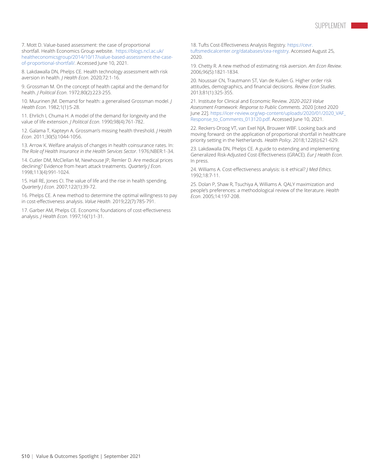7. Mott D. Value-based assessment: the case of proportional shortfall. Health Economics Group website. [https://blogs.ncl.ac.uk/](https://blogs.ncl.ac.uk/healtheconomicsgroup/2014/10/17/value-based-assessment-the-case-of-proportional-shortfall/) [healtheconomicsgroup/2014/10/17/value-based-assessment-the-case](https://blogs.ncl.ac.uk/healtheconomicsgroup/2014/10/17/value-based-assessment-the-case-of-proportional-shortfall/)[of-proportional-shortfall/](https://blogs.ncl.ac.uk/healtheconomicsgroup/2014/10/17/value-based-assessment-the-case-of-proportional-shortfall/). Accessed June 10, 2021.

8. Lakdawalla DN, Phelps CE. Health technology assessment with risk aversion in health. *J Health Econ*. 2020;72:1-16.

9. Grossman M. On the concept of health capital and the demand for health. *J Political Econ*. 1972;80(2):223-255.

10. Muurinen JM. Demand for health: a generalised Grossman model. *J Health Econ*. 1982;1(1):5-28.

11. Ehrlich I, Chuma H. A model of the demand for longevity and the value of life extension. *J Political Econ*. 1990;98(4):761-782.

12. Galama T, Kapteyn A. Grossman's missing health threshold. *J Health Econ*. 2011;30(5):1044-1056.

13. Arrow K. Welfare analysis of changes in health coinsurance rates. In: *The Role of Health Insurance in the Health Services Sector*. 1976;NBER:1-34.

14. Cutler DM, McClellan M, Newhouse JP, Remler D. Are medical prices declining? Evidence from heart attack treatments. *Quarterly J Econ*. 1998;113(4):991-1024.

15. Hall RE, Jones CI. The value of life and the rise in health spending. *Quarterly J Econ*. 2007;122(1):39-72.

16. Phelps CE. A new method to determine the optimal willingness to pay in cost-effectiveness analysis. *Value Health*. 2019;22(7):785-791.

17. Garber AM, Phelps CE. Economic foundations of cost-effectiveness analysis. *J Health Econ*. 1997;16(1):1-31.

18. Tufts Cost-Effectiveness Analysis Registry. [https://cevr.](iii) [tuftsmedicalcenter.org/databases/cea-registry](iii). Accessed August 25, 2020.

19. Chetty R. A new method of estimating risk aversion. *Am Econ Review*. 2006;96(5):1821-1834.

20. Noussair CN, Trautmann ST, Van de Kuilen G. Higher order risk attitudes, demographics, and financial decisions. *Review Econ Studies*. 2013;81(1):325-355.

21. Institute for Clinical and Economic Review. *2020-2023 Value Assessment Framework: Response to Public Comments*. 2020 [cited 2020 June 22]. [https://icer-review.org/wp-content/uploads/2020/01/2020\\_VAF\\_](https://icer-review.org/wp-content/uploads/2020/01/2020_VAF_Response_to_Comments_013120.pdf) [Response\\_to\\_Comments\\_013120.pdf.](https://icer-review.org/wp-content/uploads/2020/01/2020_VAF_Response_to_Comments_013120.pdf) Accessed June 10, 2021.

22. Reckers-Droog VT, van Exel NJA, Brouwer WBF. Looking back and moving forward: on the application of proportional shortfall in healthcare priority setting in the Netherlands. *Health Policy*. 2018;122(6):621-629.

23. Lakdawalla DN, Phelps CE. A guide to extending and implementing Generalized Risk-Adjusted Cost-Effectiveness (GRACE). *Eur J Health Econ*. In press.

24. Williams A. Cost-effectiveness analysis: is it ethical? *J Med Ethics*. 1992;18:7-11.

25. Dolan P, Shaw R, Tsuchiya A, Williams A. QALY maximization and people's preferences: a methodological review of the literature. *Health Econ*. 2005;14:197-208.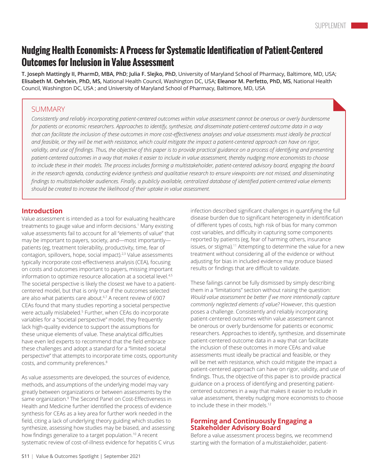# **Nudging Health Economists: A Process for Systematic Identification of Patient-Centered Outcomes for Inclusion in Value Assessment**

**T. Joseph Mattingly II, PharmD, MBA, PhD**; **Julia F. Slejko, PhD**, University of Maryland School of Pharmacy, Baltimore, MD, USA; **Elisabeth M. Oehrlein, PhD, MS,** National Health Council, Washington DC, USA; **Eleanor M. Perfetto, PhD, MS**, National Health Council, Washington DC, USA ; and University of Maryland School of Pharmacy, Baltimore, MD, USA

#### **SUMMARY**

Consistently and reliably incorporating patient-centered outcomes within value assessment cannot be onerous or overly burdensome for patients or economic researchers. Approaches to identify, synthesize, and disseminate patient-centered outcome data in a way that can facilitate the inclusion of these outcomes in more cost-effectiveness analyses and value assessments must ideally be practical and feasible, or they will be met with resistance, which could mitigate the impact a patient-centered approach can have on rigor, validity, and use of findings. Thus, the objective of this paper is to provide practical guidance on a process of identifying and presenting patient-centered outcomes in a way that makes it easier to include in value assessment, thereby nudging more economists to choose to include these in their models. The process includes forming a multistakeholder, patient-centered advisory board, engaging the board in the research agenda, conducting evidence synthesis and qualitative research to ensure viewpoints are not missed, and disseminating findings to multistakeholder audiences. Finally, a publicly available, centralized database of identified patient-centered value elements *should be created to increase the likelihood of their uptake in value assessment.*

#### **Introduction**

Value assessment is intended as a tool for evaluating healthcare treatments to gauge value and inform decisions.<sup>1</sup> Many existing value assessments fail to account for all "elements of value" that may be important to payers, society, and—most importantly patients (eg, treatment tolerability, productivity, time, fear of contagion, spillovers, hope, social impact).<sup>2,3</sup> Value assessments typically incorporate cost-effectiveness analysis (CEA), focusing on costs and outcomes important to payers, missing important information to optimize resource allocation at a societal level.<sup>4,5</sup> The societal perspective is likely the closest we have to a patientcentered model, but that is only true if the outcomes selected are also what patients care about.<sup>6,7</sup> A recent review of 6907 CEAs found that many studies reporting a societal perspective were actually mislabeled.5 Further, when CEAs do incorporate variables for a "societal perspective" model, they frequently lack high-quality evidence to support the assumptions for these unique elements of value. These analytical difficulties have even led experts to recommend that the field embrace these challenges and adopt a standard for a "limited societal perspective" that attempts to incorporate time costs, opportunity costs, and community preferences.<sup>8</sup>

As value assessments are developed, the sources of evidence, methods, and assumptions of the underlying model may vary greatly between organizations or between assessments by the same organization.9 The Second Panel on Cost-Effectiveness in Health and Medicine further identified the process of evidence synthesis for CEAs as a key area for further work needed in the field, citing a lack of underlying theory guiding which studies to synthesize, assessing how studies may be biased, and assessing how findings generalize to a target population.10 A recent systematic review of cost-of-illness evidence for hepatitis C virus infection described significant challenges in quantifying the full disease burden due to significant heterogeneity in identification of different types of costs, high risk of bias for many common cost variables, and difficulty in capturing some components reported by patients (eg, fear of harming others, insurance issues, or stigma).<sup>11</sup> Attempting to determine the value for a new treatment without considering all of the evidence or without adjusting for bias in included evidence may produce biased results or findings that are difficult to validate.

These failings cannot be fully dismissed by simply describing them in a "limitations" section without raising the question: *Would value assessment be better if we more intentionally capture commonly neglected elements of value?* However, this question poses a challenge. Consistently and reliably incorporating patient-centered outcomes within value assessment cannot be onerous or overly burdensome for patients or economic researchers. Approaches to identify, synthesize, and disseminate patient-centered outcome data in a way that can facilitate the inclusion of these outcomes in more CEAs and value assessments must ideally be practical and feasible, or they will be met with resistance, which could mitigate the impact a patient-centered approach can have on rigor, validity, and use of findings. Thus, the objective of this paper is to provide practical guidance on a process of identifying and presenting patientcentered outcomes in a way that makes it easier to include in value assessment, thereby nudging more economists to choose to include these in their models.<sup>12</sup>

#### **Forming and Continuously Engaging a Stakeholder Advisory Board**

Before a value assessment process begins, we recommend starting with the formation of a multistakeholder, patient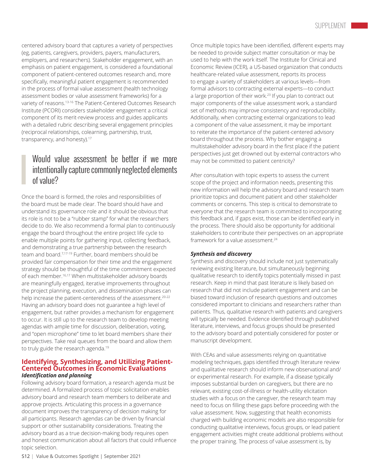centered advisory board that captures a variety of perspectives (eg, patients, caregivers, providers, payers, manufacturers, employers, and researchers). Stakeholder engagement, with an emphasis on patient engagement, is considered a foundational component of patient-centered outcomes research and, more specifically, meaningful patient engagement is recommended in the process of formal value assessment (health technology assessment bodies or value assessment frameworks) for a variety of reasons.13-16 The Patient-Centered Outcomes Research Institute (PCORI) considers stakeholder engagement a critical component of its merit-review process and guides applicants with a detailed rubric describing several engagement principles (reciprocal relationships, colearning, partnership, trust, transparency, and honesty).<sup>17</sup>

# Would value assessment be better if we more intentionally capture commonly neglected elements of value?

Once the board is formed, the roles and responsibilities of the board must be made clear. The board should have and understand its governance role and it should be obvious that its role is not to be a "rubber stamp" for what the researchers decide to do. We also recommend a formal plan to continuously engage the board throughout the entire project life cycle to enable multiple points for gathering input, collecting feedback, and demonstrating a true partnership between the research team and board.7,17-19 Further, board members should be provided fair compensation for their time and the engagement strategy should be thoughtful of the time commitment expected of each member.16,17 When multistakeholder advisory boards are meaningfully engaged, iterative improvements throughout the project planning, execution, and dissemination phases can help increase the patient-centeredness of the assessment.<sup>20-22</sup> Having an advisory board does not guarantee a high level of engagement, but rather provides a mechanism for engagement to occur. It is still up to the research team to develop meeting agendas with ample time for discussion, deliberation, voting, and "open microphone" time to let board members share their perspectives. Take real queues from the board and allow them to truly guide the research agenda.<sup>19</sup>

#### **Identifying, Synthesizing, and Utilizing Patient-Centered Outcomes in Economic Evaluations** *Identification and planning*

Following advisory board formation, a research agenda must be determined. A formalized process of topic solicitation enables advisory board and research team members to deliberate and approve projects. Articulating this process in a governance document improves the transparency of decision making for all participants. Research agendas can be driven by financial support or other sustainability considerations. Treating the advisory board as a true decision-making body requires open and honest communication about all factors that could influence topic selection.

Once multiple topics have been identified, different experts may be needed to provide subject matter consultation or may be used to help with the work itself. The Institute for Clinical and Economic Review (ICER), a US-based organization that conducts healthcare-related value assessment, reports its process to engage a variety of stakeholders at various levels—from formal advisors to contracting external experts—to conduct a large proportion of their work.23 If you plan to contract out major components of the value assessment work, a standard set of methods may improve consistency and reproducibility. Additionally, when contracting external organizations to lead a component of the value assessment, it may be important to reiterate the importance of the patient-centered advisory board throughout the process. Why bother engaging a multistakeholder advisory board in the first place if the patient perspectives just get drowned out by external contractors who may not be committed to patient centricity?

After consultation with topic experts to assess the current scope of the project and information needs, presenting this new information will help the advisory board and research team prioritize topics and document patient and other stakeholder comments or concerns. This step is critical to demonstrate to everyone that the research team is committed to incorporating this feedback and, if gaps exist, those can be identified early in the process. There should also be opportunity for additional stakeholders to contribute their perspectives on an appropriate framework for a value assessment 24

#### *Synthesis and discovery*

Synthesis and discovery should include not just systematically reviewing existing literature, but simultaneously beginning qualitative research to identify topics potentially missed in past research. Keep in mind that past literature is likely based on research that did not include patient engagement and can be biased toward inclusion of research questions and outcomes considered important to clinicians and researchers rather than patients. Thus, qualitative research with patients and caregivers will typically be needed. Evidence identified through published literature, interviews, and focus groups should be presented to the advisory board and potentially considered for poster or manuscript development.

With CEAs and value assessments relying on quantitative modeling techniques, gaps identified through literature review and qualitative research should inform new observational and/ or experimental research. For example, if a disease typically imposes substantial burden on caregivers, but there are no relevant, existing cost-of-illness or health-utility elicitation studies with a focus on the caregiver, the research team may need to focus on filling these gaps before proceeding with the value assessment. Now, suggesting that health economists charged with building economic models are also responsible for conducting qualitative interviews, focus groups, or lead patient engagement activities might create additional problems without the proper training. The process of value assessment is, by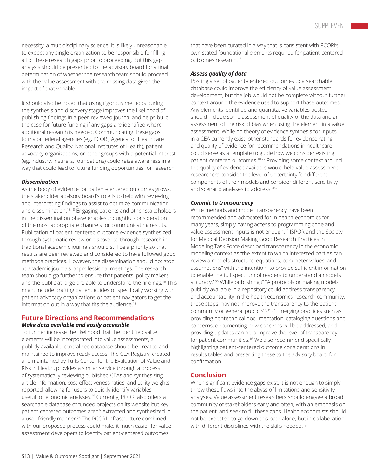necessity, a multidisciplinary science. It is likely unreasonable to expect any single organization to be responsible for filling all of these research gaps prior to proceeding. But this gap analysis should be presented to the advisory board for a final determination of whether the research team should proceed with the value assessment with the missing data given the impact of that variable.

It should also be noted that using rigorous methods during the synthesis and discovery stage improves the likelihood of publishing findings in a peer-reviewed journal and helps build the case for future funding if any gaps are identified where additional research is needed. Communicating these gaps to major federal agencies (eg, PCORI, Agency for Healthcare Research and Quality, National Institutes of Health), patient advocacy organizations, or other groups with a potential interest (eg, industry, insurers, foundations) could raise awareness in a way that could lead to future funding opportunities for research.

#### *Dissemination*

As the body of evidence for patient-centered outcomes grows, the stakeholder advisory board's role is to help with reviewing and interpreting findings to assist to optimize communication and dissemination.<sup>13,18</sup> Engaging patients and other stakeholders in the dissemination phase enables thoughtful consideration of the most appropriate channels for communicating results. Publication of patient-centered outcome evidence synthesized through systematic review or discovered through research in traditional academic journals should still be a priority so that results are peer reviewed and considered to have followed good methods practices. However, the dissemination should not stop at academic journals or professional meetings. The research team should go further to ensure that patients, policy makers, and the public at large are able to understand the findings.18 This might include drafting patient guides or specifically working with patient advocacy organizations or patient navigators to get the information out in a way that fits the audience.<sup>18</sup>

#### **Future Directions and Recommendations** *Make data available and easily accessible*

To further increase the likelihood that the identified value elements will be incorporated into value assessments, a publicly available, centralized database should be created and maintained to improve ready access. The CEA Registry, created and maintained by Tufts Center for the Evaluation of Value and Risk in Health, provides a similar service through a process of systematically reviewing published CEAs and synthesizing article information, cost-effectiveness ratios, and utility weights reported, allowing for users to quickly identify variables useful for economic analyses.<sup>25</sup> Currently, PCORI also offers a searchable database of funded projects on its website but key patient-centered outcomes aren't extracted and synthesized in a user-friendly manner.<sup>26</sup> The PCORI infrastructure combined with our proposed process could make it much easier for value assessment developers to identify patient-centered outcomes

that have been curated in a way that is consistent with PCORI's own stated foundational elements required for patient-centered outcomes research.<sup>13</sup>

#### *Assess quality of data*

Posting a set of patient-centered outcomes to a searchable database could improve the efficiency of value assessment development, but the job would not be complete without further context around the evidence used to support those outcomes. Any elements identified and quantitative variables posted should include some assessment of quality of the data and an assessment of the risk of bias when using the element in a value assessment. While no theory of evidence synthesis for inputs in a CEA currently exist, other standards for evidence rating and quality of evidence for recommendations in healthcare could serve as a template to guide how we consider existing patient-centered outcomes.<sup>10,27</sup> Providing some context around the quality of evidence available would help value assessment researchers consider the level of uncertainty for different components of their models and consider different sensitivity and scenario analyses to address.<sup>28,29</sup>

#### *Commit to transparency*

While methods and model transparency have been recommended and advocated for in health economics for many years, simply having access to programming code and value assessment inputs is not enough.<sup>30</sup> ISPOR and the Society for Medical Decision Making Good Research Practices in Modeling Task Force described transparency in the economic modeling context as "the extent to which interested parties can review a model's structure, equations, parameter values, and assumptions" with the intention "to provide sufficient information to enable the full spectrum of readers to understand a model's accuracy."<sup>30</sup> While publishing CEA protocols or making models publicly available in a repository could address transparency and accountability in the health economics research community, these steps may not improve the transparency to the patient community or general public.7,10,31,32 Emerging practices such as providing nontechnical documentation, cataloging questions and concerns, documenting how concerns will be addressed, and providing updates can help improve the level of transparency for patient communities.<sup>16</sup> We also recommend specifically highlighting patient-centered outcome considerations in results tables and presenting these to the advisory board for confirmation.

#### **Conclusion**

When significant evidence gaps exist, it is not enough to simply throw these flaws into the abyss of limitations and sensitivity analyses. Value assessment researchers should engage a broad community of stakeholders early and often, with an emphasis on the patient, and seek to fill these gaps. Health economists should not be expected to go down this path alone, but in collaboration with different disciplines with the skills needed. **•**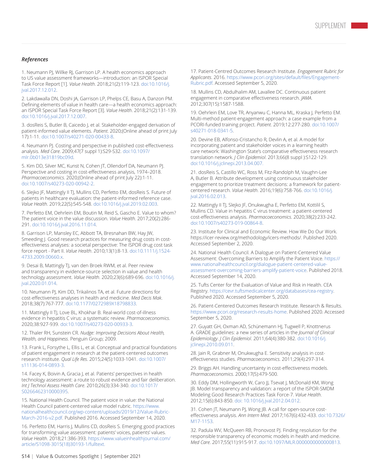#### *References*

1. Neumann PJ, Willke RJ, Garrison LP. A health economics approach to US value assessment frameworks—introduction: an ISPOR Special Task Force Report [1]. *Value Health*. 2018;21(2):119-123. [doi:10.1016/j.](https://pubmed.ncbi.nlm.nih.gov/29477388/) [jval.2017.12.012.](https://pubmed.ncbi.nlm.nih.gov/29477388/)

2. Lakdawalla DN, Doshi JA, Garrison LP, Phelps CE, Basu A, Danzon PM. Defining elements of value in health care—a health economics approach: an ISPOR Special Task Force Report [3]. *Value Health*. 2018;21(2):131-139. [doi:10.1016/j.jval.2017.12.007](https://pubmed.ncbi.nlm.nih.gov/29477390/).

3. dosReis S, Butler B, Caicedo J, et al. Stakeholder-engaged derivation of patient-informed value elements. *Patient*. 2020;(Online ahead of print July 17):1-11. [doi:10.1007/s40271-020-00433-8](https://pubmed.ncbi.nlm.nih.gov/32676998/).

4. Neumann PJ. Costing and perspective in published cost-effectiveness analysis. *Med Care*. 2009;47(7 suppl 1):S29-S32[. doi:10.1097/](https://pubmed.ncbi.nlm.nih.gov/19536023/) [mlr.0b013e31819bc09d](https://pubmed.ncbi.nlm.nih.gov/19536023/).

5. Kim DD, Silver MC, Kunst N, Cohen JT, Ollendorf DA, Neumann PJ. Perspective and costing in cost-effectiveness analysis, 1974–2018. *Pharmacoeconomics*. 2020;(Online ahead of print July 22):1-11. [doi:10.1007/s40273-020-00942-2](https://pubmed.ncbi.nlm.nih.gov/32696192/).

6. Slejko JF, Mattingly II TJ, Mullins CD, Perfetto EM, dosReis S. Future of patients in healthcare evaluation: the patient-informed reference case. *Value Health*. 2019;22(5):545-548. [doi:10.1016/j.jval.2019.02.003.](https://pubmed.ncbi.nlm.nih.gov/31104732/)

7. Perfetto EM, Oehrlein EM, Boutin M, Reid S, Gascho E. Value to whom? The patient voice in the value discussion. *Value Health*. 2017;20(2):286- 291. [doi:10.1016/j.jval.2016.11.014.](https://pubmed.ncbi.nlm.nih.gov/28237211/)

8. Garrison LP, Mansley EC, Abbott TA, Bresnahan BW, Hay JW, Smeeding J. Good research practices for measuring drug costs in costeffectiveness analyses: a societal perspective: The ISPOR drug cost task force report - Part II. *Value Health*. 2010;13(1):8-13. [doi:10.1111/j.1524-](https://www.valueinhealthjournal.com/article/S1098-3015(10)60387-7/fulltext) [4733.2009.00660.x](https://www.valueinhealthjournal.com/article/S1098-3015(10)60387-7/fulltext).

9. Desai B, Mattingly TJ, van den Broek RWM, et al. Peer review and transparency in evidence-source selection in value and health technology assessment. *Value Health*. 2020;23(6):689-696. [doi:10.1016/j.](https://www.valueinhealthjournal.com/article/S1098-3015(20)30090-5/abstract) [jval.2020.01.014.](https://www.valueinhealthjournal.com/article/S1098-3015(20)30090-5/abstract)

10. Neumann PJ, Kim DD, Trikalinos TA, et al. Future directions for cost-effectiveness analyses in health and medicine. *Med Decis Mak*. 2018;38(7):767-777. [doi:10.1177/0272989X18798833](https://pubmed.ncbi.nlm.nih.gov/30248277/).

11. Mattingly II TJ, Love BL, Khokhar B. Real-world cost-of-illness evidence in hepatitis C virus: a systematic review. *Pharmacoeconomics*. 2020;38:927-939. [doi:10.1007/s40273-020-00933-3.](https://pubmed.ncbi.nlm.nih.gov/32533524/)

12. Thaler RH, Sunstein CR. *Nudge: Improving Decisions About Health, Wealth, and Happiness*. Penguin Group; 2009.

13. Frank L, Forsythe L, Ellis L, et al. Conceptual and practical foundations of patient engagement in research at the patient-centered outcomes research institute. *Qual Life Res*. 2015;24(5):1033-1041. [doi:10.1007/](https://pubmed.ncbi.nlm.nih.gov/25560774/) [s11136-014-0893-3](https://pubmed.ncbi.nlm.nih.gov/25560774/).

14. Facey K, Boivin A, Gracia J, et al. Patients' perspectives in health technology assessment: a route to robust evidence and fair deliberation. *Int J Technol Assess Health Care*. 2010;26(3):334-340. [doi:10.1017/](https://pubmed.ncbi.nlm.nih.gov/20584364/) [S0266462310000395.](https://pubmed.ncbi.nlm.nih.gov/20584364/)

15. National Health Council. The patient voice in value: the National Health Council patient-centered value model rubric. [https://www.](https://www.nationalhealthcouncil.org/wp-content/uploads/2019/12/Value-Rubric-March-2016-v2.pdf) [nationalhealthcouncil.org/wp-content/uploads/2019/12/Value-Rubric-](https://www.nationalhealthcouncil.org/wp-content/uploads/2019/12/Value-Rubric-March-2016-v2.pdf)[March-2016-v2.pdf.](https://www.nationalhealthcouncil.org/wp-content/uploads/2019/12/Value-Rubric-March-2016-v2.pdf) Published 2016. Accessed September 14, 2020.

16. Perfetto EM, Harris J, Mullins CD, dosReis S. Emerging good practices for transforming value assessment: patients' voices, patients' values. *Value Health*. 2018;21:386-393. [https://www.valueinhealthjournal.com/](https://www.valueinhealthjournal.com/article/S1098-3015(18)30193-1/fulltext) [article/S1098-3015\(18\)30193-1/fulltext.](https://www.valueinhealthjournal.com/article/S1098-3015(18)30193-1/fulltext)

17. Patient-Centred Outcomes Research Institute. *Engagement Rubric for Applicants*. 2016. [https://www.pcori.org/sites/default/files/Engagement-](https://www.pcori.org/sites/default/files/Engagement-Rubric.pdf)[Rubric.pdf.](https://www.pcori.org/sites/default/files/Engagement-Rubric.pdf) Accessed September 5, 2020.

18. Mullins CD, Abdulhalim AM, Lavallee DC. Continuous patient engagement in comparative effectiveness research. *JAMA*. 2012;307(15):1587-1588.

19. Oehrlein EM, Love TR, Anyanwu C, Hanna ML, Kraska J, Perfetto EM. Multi-method patient-engagement approach: a case example from a PCORI-funded training project. *Patient*. 2019;12:277-280. [doi:10.1007/](https://pubmed.ncbi.nlm.nih.gov/30390238/) [s40271-018-0341-5](https://pubmed.ncbi.nlm.nih.gov/30390238/).

20. Devine EB, Alfonso-Cristancho R, Devlin A, et al. A model for incorporating patient and stakeholder voices in a learning health care network: Washington State's comparative effectiveness research translation network. *J Clin Epidemiol*. 2013;66(8 suppl ):S122-129. [doi:10.1016/j.jclinepi.2013.04.007](https://www.jclinepi.com/article/S0895-4356(13)00159-5/fulltext).

21. dosReis S, Castillo WC, Ross M, Fitz-Randolph M, Vaughn-Lee A, Butler B. Attribute development using continuous stakeholder engagement to prioritize treatment decisions: a framework for patientcentered research. *Value Health*. 2016;19(6):758-766. [doi:10.1016/j.](https://pubmed.ncbi.nlm.nih.gov/27712703/) [jval.2016.02.013.](https://pubmed.ncbi.nlm.nih.gov/27712703/)

22. Mattingly II TJ, Slejko JF, Onukwugha E, Perfetto EM, Kottilil S, Mullins CD. Value in hepatitis C virus treatment: a patient-centered cost-effectiveness analysis. *Pharmacoeconomics*. 2020;38(2):233-242. [doi:10.1007/s40273-019-00864-8](https://link.springer.com/article/10.1007/s40273-019-00864-8).

23. Institute for Clinical and Economic Review. How We Do Our Work. https://icer-review.org/methodology/icers-methods/. Published 2020. Accessed September 2, 2020.

24. National Health Council. A Dialogue on Patient-Centered Value Assessment: Overcoming Barriers to Amplify the Patient Voice. [https://](https://nationalhealthcouncil.org/a-dialogue-on-patient-centered-value-assessment-overcoming-barriers-to-amplify-the-patient-voice/) [www.nationalhealthcouncil.org/dialogue-patient-centered-value](https://nationalhealthcouncil.org/a-dialogue-on-patient-centered-value-assessment-overcoming-barriers-to-amplify-the-patient-voice/)[assessment-overcoming-barriers-amplify-patient-voice](https://nationalhealthcouncil.org/a-dialogue-on-patient-centered-value-assessment-overcoming-barriers-to-amplify-the-patient-voice/). Published 2018. Accessed September 14, 2020.

25. Tufts Center for the Evaluation of Value and Risk in Health. CEA Registry. [https://cevr.tuftsmedicalcenter.org/databases/cea-registry.](https://cevr.tuftsmedicalcenter.org/databases/cea-registry) Published 2020. Accessed September 5, 2020.

26. Patient-Centered Outcomes Research Institute. Research & Results. <https://www.pcori.org/research-results-home>. Published 2020. Accessed September 5, 2020.

27. Guyatt GH, Oxman AD, Schünemann HJ, Tugwell P, Knottnerus A. GRADE guidelines: a new series of articles in the *Journal of Clinical Epidemiology*. *J Clin Epidemiol*. 2011;64(4):380-382. [doi:10.1016/j.](https://pubmed.ncbi.nlm.nih.gov/21185693/) [jclinepi.2010.09.011](https://pubmed.ncbi.nlm.nih.gov/21185693/).

28. Jain R, Grabner M, Onukwugha E. Sensitivity analysis in costeffectiveness studies. *Pharmacoeconomics*. 2011;29(4):297-314.

29. Briggs AH. Handling uncertainty in cost-effectiveness models. *Pharmacoeconomics*. 2000;17(5):479-500.

30. Eddy DM, Hollingworth W, Caro JJ, Tsevat J, McDonald KM, Wong JB. Model transparency and validation: a report of the ISPOR-SMDM Modeling Good Research Practices Task Force-7. *Value Health*. 2012;15(6):843-850. [doi: 10.1016/j.jval.2012.04.012.](https://www.sciencedirect.com/science/article/pii/S1098301512016567)

31. Cohen JT, Neumann PJ, Wong JB. A call for open-source costeffectiveness analysis. *Ann Intern Med*. 2017;167(6):432-433. [doi:10.7326/](https://www.acpjournals.org/doi/10.7326/M17-1153) [M17-1153.](https://www.acpjournals.org/doi/10.7326/M17-1153)

32. Padula WV, McQueen RB, Pronovost PJ. Finding resolution for the responsible transparency of economic models in health and medicine. *Med Care*. 2017;55(11):915-917. [doi:10.1097/MLR.0000000000000813](https://pubmed.ncbi.nlm.nih.gov/29028755/).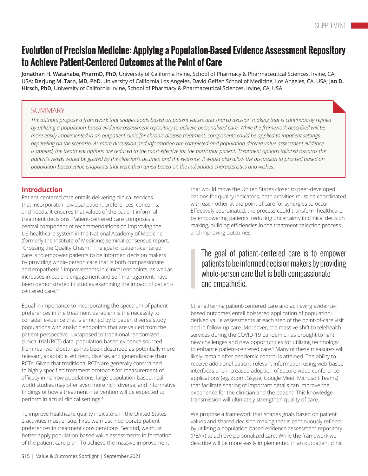# **Evolution of Precision Medicine: Applying a Population-Based Evidence Assessment Repository to Achieve Patient-Centered Outcomes at the Point of Care**

**Jonathan H. Watanabe, PharmD, PhD**, University of California Irvine, School of Pharmacy & Pharmaceutical Sciences, Irvine, CA, USA; **Derjung M. Tarn, MD, PhD**, University of California Los Angeles, David Geffen School of Medicine, Los Angeles, CA, USA; **Jan D. Hirsch, PhD**, University of California Irvine, School of Pharmacy & Pharmaceutical Sciences, Irvine, CA, USA

#### **SUMMARY**

The authors propose a framework that shapes goals based on patient values and shared decision making that is continuously refined by utilizing a population-based evidence assessment repository to achieve personalized care. While the framework described will be more easily implemented in an outpatient clinic for chronic disease treatment, components could be applied to inpatient settings *depending on the scenario. As more discussion and information are completed and population-derived value assessment evidence* is applied, the treatment options are reduced to the most effective for the particular patient. Treatment options tailored towards the patient's needs would be guided by the clinician's acumen and the evidence. It would also allow the discussion to proceed based on *population-based value endpoints that were then tuned based on the individual's characteristics and wishes.*

#### **Introduction**

Patient-centered care entails delivering clinical services that incorporate individual patient preferences, concerns, and needs. It ensures that values of the patient inform all treatment decisions. Patient-centered care comprises a central component of recommendations on improving the US healthcare system in the National Academy of Medicine (formerly the Institute of Medicine) seminal consensus report, "Crossing the Quality Chasm." The goal of patient-centered care is to empower patients to be informed decision makers by providing whole-person care that is both compassionate and empathetic.<sup>1</sup> Improvements in clinical endpoints, as well as increases in patient engagement and self-management, have been demonstrated in studies examining the impact of patientcentered care.2,3

Equal in importance to incorporating the spectrum of patient preferences in the treatment paradigm is the necessity to consider evidence that is enriched by broader, diverse study populations with analytic endpoints that are valued from the patient perspective. Juxtaposed to traditional randomized, clinical trial (RCT) data, population-based evidence sourced from real-world settings has been described as potentially more relevant, adaptable, efficient, diverse, and generalizable than RCTs. Given that traditional RCTs are generally constrained to highly specified treatment protocols for measurement of efficacy in narrow populations, large population-based, realworld studies may offer even more rich, diverse, and informative findings of how a treatment intervention will be expected to perform in actual clinical settings.4

To improve healthcare quality indicators in the United States, 2 activities must ensue. First, we must incorporate patient preferences in treatment considerations. Second, we must better apply population-based value assessments in formation of the patient care plan. To achieve the massive improvement

that would move the United States closer to peer-developed nations for quality indicators, both activities must be coordinated with each other at the point of care for synergies to occur. Effectively coordinated, the process could transform healthcare by empowering patients, reducing uncertainty in clinical decision making, building efficiencies in the treatment selection process, and improving outcomes.

### The goal of patient-centered care is to empower patients to be informed decision makers by providing whole-person care that is both compassionate and empathetic.

Strengthening patient-centered care and achieving evidencebased outcomes entail bolstered application of populationderived value assessments at each step of the point-of-care visit and in follow-up care. Moreover, the massive shift to telehealth services during the COVID-19 pandemic has brought to light new challenges and new opportunities for utilizing technology to enhance patient-centered care.<sup>5</sup> Many of these measures will likely remain after pandemic control is attained. The ability to receive additional patient-relevant information using web-based interfaces and increased adoption of secure video conference applications (eg, Zoom, Skype, Google Meet, Microsoft Teams) that facilitate sharing of important details can improve the experience for the clinician and the patient. This knowledge transmission will ultimately strengthen quality of care.

We propose a framework that shapes goals based on patient values and shared decision making that is continuously refined by utilizing a population-based evidence assessment repository (PEAR) to achieve personalized care. While the framework we describe will be more easily implemented in an outpatient clinic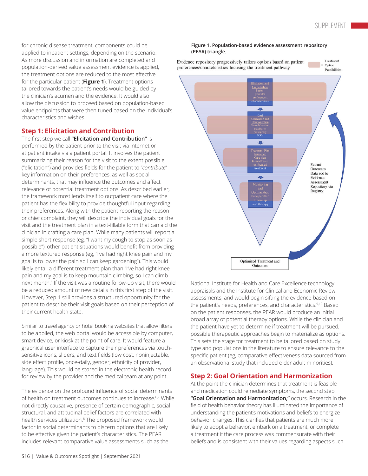Treatment

Option

for chronic disease treatment, components could be applied to inpatient settings, depending on the scenario. As more discussion and information are completed and population-derived value assessment evidence is applied, the treatment options are reduced to the most effective for the particular patient (**Figure 1**). Treatment options tailored towards the patient's needs would be guided by the clinician's acumen and the evidence. It would also allow the discussion to proceed based on population-based value endpoints that were then tuned based on the individual's characteristics and wishes.

#### **Step 1: Elicitation and Contribution**

The first step we call **"Elicitation and Contribution"** is performed by the patient prior to the visit via internet or at patient intake via a patient portal. It involves the patient summarizing their reason for the visit to the extent possible ("elicitation") and provides fields for the patient to "*contribute*" key information on their preferences, as well as social determinants, that may influence the outcomes and affect relevance of potential treatment options. As described earlier, the framework most lends itself to outpatient care where the patient has the flexibility to provide thoughtful input regarding their preferences. Along with the patient reporting the reason or chief complaint, they will describe the individual goals for the visit and the treatment plan in a text-fillable form that can aid the clinician in crafting a care plan. While many patients will report a simple short response (eg, "I want my cough to stop as soon as possible"), other patient situations would benefit from providing a more textured response (eg, "I've had right knee pain and my goal is to lower the pain so I can keep gardening"). This would likely entail a different treatment plan than "I've had right knee pain and my goal is to keep mountain climbing, so I can climb next month." If the visit was a routine follow-up visit, there would be a reduced amount of new details in this first step of the visit. However, Step 1 still provides a structured opportunity for the patient to describe their visit goals based on their perception of their current health state.

Similar to travel agency or hotel booking websites that allow filters to be applied, the web portal would be accessible by computer, smart device, or kiosk at the point of care. It would feature a graphical user interface to capture their preferences via touchsensitive icons, sliders, and text fields (low cost, noninjectable, side effect profile, once-daily, gender, ethnicity of provider, language). This would be stored in the electronic health record for review by the provider and the medical team at any point.

The evidence on the profound influence of social determinants of health on treatment outcomes continues to increase.<sup>6,7</sup> While not directly causative, presence of certain demographic, social structural, and attitudinal belief factors are correlated with health services utilization.<sup>8</sup> The proposed framework would factor in social determinants to discern options that are likely to be effective given the patient's characteristics. The PEAR includes relevant comparative value assessments such as the



Evidence repository progressively tailors options based on patient preferences/characteristics focusing the treatment pathway



National Institute for Health and Care Excellence technology appraisals and the Institute for Clinical and Economic Review assessments, and would begin sifting the evidence based on the patient's needs, preferences, and characteristics.<sup>9,10</sup> Based on the patient responses, the PEAR would produce an initial broad array of potential therapy options. While the clinician and the patient have yet to determine if treatment will be pursued, possible therapeutic approaches begin to materialize as options. This sets the stage for treatment to be tailored based on study type and populations in the literature to ensure relevance to the specific patient (eg, comparative effectiveness data sourced from an observational study that included older adult minorities).

#### **Step 2: Goal Orientation and Harmonization**

At the point the clinician determines that treatment is feasible and medication could remediate symptoms, the second step, **"Goal Orientation and Harmonization,"** occurs. Research in the field of health behavior theory has illuminated the importance of understanding the patient's motivations and beliefs to energize behavior changes. This clarifies that patients are much more likely to adopt a behavior, embark on a treatment, or complete a treatment if the care process was commensurate with their beliefs and is consistent with their values regarding aspects such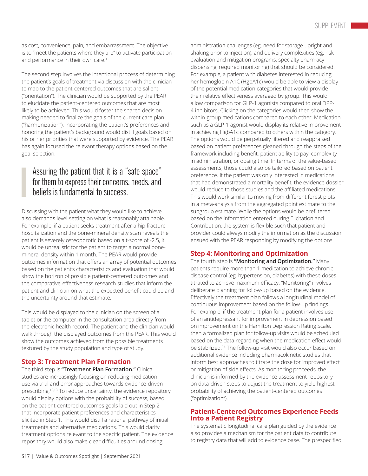as cost, convenience, pain, and embarrassment. The objective is to "meet the patients where they are" to activate participation and performance in their own care.<sup>11</sup>

The second step involves the intentional process of determining the patient's goals of treatment via discussion with the clinician to map to the patient-centered outcomes that are salient ("orientation"). The clinician would be supported by the PEAR to elucidate the patient-centered outcomes that are most likely to be achieved. This would foster the shared decision making needed to finalize the goals of the current care plan ("harmonization"). Incorporating the patient's preferences and honoring the patient's background would distill goals based on his or her priorities that were supported by evidence. The PEAR has again focused the relevant therapy options based on the goal selection.

### Assuring the patient that it is a "safe space" for them to express their concerns, needs, and beliefs is fundamental to success.

Discussing with the patient what they would like to achieve also demands level-setting on what is reasonably attainable. For example, if a patient seeks treatment after a hip fracture hospitalization and the bone-mineral density scan reveals the patient is severely osteoporotic based on a t-score of -2.5, it would be unrealistic for the patient to target a normal bonemineral density within 1 month. The PEAR would provide outcomes information that offers an array of potential outcomes based on the patient's characteristics and evaluation that would show the horizon of possible patient-centered outcomes and the comparative-effectiveness research studies that inform the patient and clinician on what the expected benefit could be and the uncertainty around that estimate.

This would be displayed to the clinician on the screen of a tablet or the computer in the consultation area directly from the electronic health record. The patient and the clinician would walk through the displayed outcomes from the PEAR. This would show the outcomes achieved from the possible treatments textured by the study population and type of study.

#### **Step 3: Treatment Plan Formation**

The third step is **"Treatment Plan Formation."** Clinical studies are increasingly focusing on reducing medication use via trial and error approaches towards evidence-driven prescribing.12,13 To reduce uncertainty, the evidence repository would display options with the probability of success, based on the patient-centered outcomes goals laid out in Step 2 that incorporate patient preferences and characteristics elicited in Step 1. This would distill a rational pathway of initial treatments and alternative medications. This would clarify treatment options relevant to the specific patient. The evidence repository would also make clear difficulties around dosing,

administration challenges (eg, need for storage upright and shaking prior to injection), and delivery complexities (eg, risk evaluation and mitigation programs, specialty pharmacy dispensing, required monitoring) that should be considered. For example, a patient with diabetes interested in reducing her hemoglobin A1C (HgbA1c) would be able to view a display of the potential medication categories that would provide their relative effectiveness averaged by group. This would allow comparison for GLP-1 agonists compared to oral DPP-4 inhibitors. Clicking on the categories would then show the within-group medications compared to each other. Medication such as a GLP-1 agonist would display its relative improvement in achieving HgbA1c compared to others within the category. The options would be perpetually filtered and reappraised based on patient preferences gleaned through the steps of the framework including benefit, patient ability to pay, complexity in administration, or dosing time. In terms of the value-based assessments, those could also be tailored based on patient preference. If the patient was only interested in medications that had demonstrated a mortality benefit, the evidence dossier would reduce to those studies and the affiliated medications. This would work similar to moving from different forest plots in a meta-analysis from the aggregated point estimate to the subgroup estimate. While the options would be prefiltered based on the information entered during Elicitation and Contribution, the system is flexible such that patient and provider could always modify the information as the discussion ensued with the PEAR responding by modifying the options.

#### **Step 4: Monitoring and Optimization**

The fourth step is **"Monitoring and Optimization."** Many patients require more than 1 medication to achieve chronic disease control (eg, hypertension, diabetes) with these doses titrated to achieve maximum efficacy. "Monitoring" involves deliberate planning for follow-up based on the evidence. Effectively the treatment plan follows a longitudinal model of continuous improvement based on the follow-up findings. For example, if the treatment plan for a patient involves use of an antidepressant for improvement in depression based on improvement on the Hamilton Depression Rating Scale, then a formalized plan for follow-up visits would be scheduled based on the data regarding when the medication effect would be stabilized.14 The follow-up visit would also occur based on additional evidence including pharmacokinetic studies that inform best approaches to titrate the dose for improved effect or mitigation of side effects. As monitoring proceeds, the clinician is informed by the evidence assessment repository on data-driven steps to adjust the treatment to yield highest probability of achieving the patient-centered outcomes ("optimization").

#### **Patient-Centered Outcomes Experience Feeds Into a Patient Registry**

The systematic longitudinal care plan guided by the evidence also provides a mechanism for the patient data to contribute to registry data that will add to evidence base. The prespecified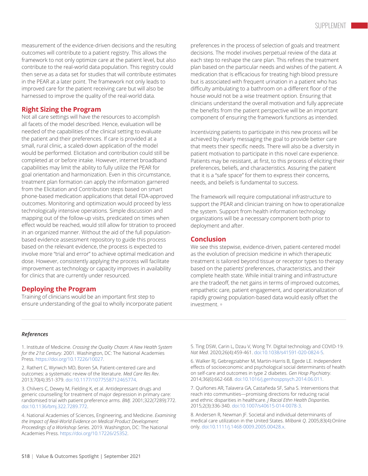measurement of the evidence-driven decisions and the resulting outcomes will contribute to a patient registry. This allows the framework to not only optimize care at the patient level, but also contribute to the real-world data population. This registry could then serve as a data set for studies that will contribute estimates in the PEAR at a later point. The framework not only leads to improved care for the patient receiving care but will also be harnessed to improve the quality of the real-world data.

#### **Right Sizing the Program**

Not all care settings will have the resources to accomplish all facets of the model described. Hence, evaluation will be needed of the capabilities of the clinical setting to evaluate the patient and their preferences. If care is provided at a small, rural clinic, a scaled-down application of the model would be performed. Elicitation and contribution could still be completed at or before intake. However, internet broadband capabilities may limit the ability to fully utilize the PEAR for goal orientation and harmonization. Even in this circumstance, treatment plan formation can apply the information garnered from the Elicitation and Contribution steps based on smart phone-based medication applications that detail FDA-approved outcomes. Monitoring and optimization would proceed by less technologically intensive operations. Simple discussion and mapping out of the follow-up visits, predicated on times when effect would be reached, would still allow for titration to proceed in an organized manner. Without the aid of the full populationbased evidence assessment repository to guide this process based on the relevant evidence, the process is expected to involve more "trial and error" to achieve optimal medication and dose. However, consistently applying the process will facilitate improvement as technology or capacity improves in availability for clinics that are currently under resourced.

#### **Deploying the Program**

Training of clinicians would be an important first step to ensure understanding of the goal to wholly incorporate patient

preferences in the process of selection of goals and treatment decisions. The model involves perpetual review of the data at each step to reshape the care plan. This refines the treatment plan based on the particular needs and wishes of the patient. A medication that is efficacious for treating high blood pressure but is associated with frequent urination in a patient who has difficulty ambulating to a bathroom on a different floor of the house would not be a wise treatment option. Ensuring that clinicians understand the overall motivation and fully appreciate the benefits from the patient perspective will be an important component of ensuring the framework functions as intended.

Incentivizing patients to participate in this new process will be achieved by clearly messaging the goal to provide better care that meets their specific needs. There will also be a diversity in patient motivation to participate in this novel care experience. Patients may be resistant, at first, to this process of eliciting their preferences, beliefs, and characteristics. Assuring the patient that it is a "safe space" for them to express their concerns, needs, and beliefs is fundamental to success.

The framework will require computational infrastructure to support the PEAR and clinician training on how to operationalize the system. Support from health information technology organizations will be a necessary component both prior to deployment and after.

#### **Conclusion**

We see this stepwise, evidence-driven, patient-centered model as the evolution of precision medicine in which therapeutic treatment is tailored beyond tissue or receptor types to therapy based on the patients' preferences, characteristics, and their complete health state. While initial training and infrastructure are the tradeoff, the net gains in terms of improved outcomes, empathetic care, patient engagement, and operationalization of rapidly growing population-based data would easily offset the investment. **•**

#### *References*

1. Institute of Medicine. *Crossing the Quality Chasm: A New Health System for the 21st Century*. 2001. Washington, DC: The National Academies Press. [https://doi.org/10.17226/10027](https://www.nap.edu/catalog/10027/crossing-the-quality-chasm-a-new-health-system-for-the).

2. Rathert C, Wyrwich MD, Boren SA. Patient-centered care and outcomes: a systematic review of the literature. *Med Care Res Rev*. 2013;70(4):351-379. [doi:10.1177/1077558712465774](https://pubmed.ncbi.nlm.nih.gov/23169897/).

3. Chilvers C, Dewey M, Fielding K, et al. Antidepressant drugs and generic counselling for treatment of major depression in primary care: randomised trial with patient preference arms. *BMJ*. 2001;322(7289):772. [doi:10.1136/bmj.322.7289.772](https://www.bmj.com/content/322/7289/772).

4. National Academies of Sciences, Engineering, and Medicine. *Examining the Impact of Real-World Evidence on Medical Product Development: Proceedings of a Workshop Series*. 2019. Washington, DC: The National Academies Press. [https://doi.org/10.17226/25352](https://www.nap.edu/catalog/25352/examining-the-impact-of-real-world-evidence-on-medical-product-development).

5. Ting DSW, Carin L, Dzau V, Wong TY. Digital technology and COVID-19. *Nat Med*. 2020;26(4):459-461. [doi:10.1038/s41591-020-0824-5](https://pubmed.ncbi.nlm.nih.gov/32284618/).

6. Walker RJ, Gebregziabher M, Martin-Harris B, Egede LE. Independent effects of socioeconomic and psychological social determinants of health on self-care and outcomes in type 2 diabetes. *Gen Hosp Psychiatry*. 2014;36(6):662-668. [doi:10.1016/j.genhosppsych.2014.06.011.](https://pubmed.ncbi.nlm.nih.gov/25103544/)

7. Quiñones AR, Talavera GA, Castañeda SF, Saha S. Interventions that reach into communities—promising directions for reducing racial and ethnic disparities in healthcare. *J Racial Ethn Health Disparities*. 2015;2(3):336-340. [doi:10.1007/s40615-014-0078-3](https://pubmed.ncbi.nlm.nih.gov/26413456/).

8. Andersen R, Newman JF. Societal and individual determinants of medical care utilization in the United States. *Milbank Q*. 2005;83(4):Online only. [doi:10.1111/j.1468-0009.2005.00428.x](https://onlinelibrary.wiley.com/doi/full/10.1111/j.1468-0009.2005.00428.x).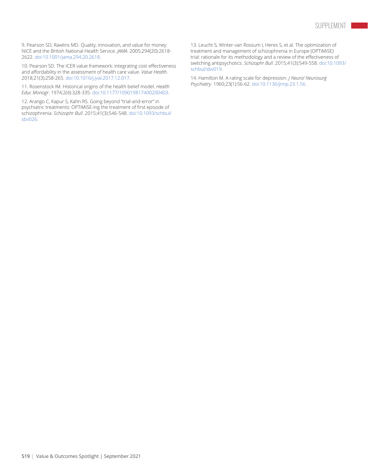9. Pearson SD, Rawlins MD. Quality, innovation, and value for money: NICE and the British National Health Service. *JAMA*. 2005;294(20):2618- 2622. [doi:10.1001/jama.294.20.2618](https://pubmed.ncbi.nlm.nih.gov/16304076/).

10. Pearson SD. The ICER value framework: integrating cost effectiveness and affordability in the assessment of health care value. *Value Health*. 2018;21(3):258-265. [doi:10.1016/j.jval.2017.12.017](https://pubmed.ncbi.nlm.nih.gov/29566831/).

11. Rosenstock IM. Historical origins of the health belief model. *Health Educ Monogr*. 1974;2(4):328-335. [doi:10.1177/109019817400200403](https://journals.sagepub.com/doi/10.1177/109019817400200403).

12. Arango C, Kapur S, Kahn RS. Going beyond "trial-and-error" in psychiatric treatments: OPTiMiSE-ing the treatment of first episode of schizophrenia. *Schizophr Bull*. 2015;41(3):546-548. [doi:10.1093/schbul/](https://pubmed.ncbi.nlm.nih.gov/25864201/) [sbv026.](https://pubmed.ncbi.nlm.nih.gov/25864201/)

13. Leucht S, Winter-van Rossum I, Heres S, et al. The optimization of treatment and management of schizophrenia in Europe (OPTiMiSE) trial: rationale for its methodology and a review of the effectiveness of switching antipsychotics. *Schizophr Bull*. 2015;41(3):549-558. [doi:10.1093/](https://academic.oup.com/schizophreniabulletin/article/41/3/549/2375119) [schbul/sbv019.](https://academic.oup.com/schizophreniabulletin/article/41/3/549/2375119)

14. Hamilton M. A rating scale for depression. *J Neurol Neurosurg Psychiatry*. 1960;23(1):56-62. [doi:10.1136/jnnp.23.1.56](https://pubmed.ncbi.nlm.nih.gov/14399272/).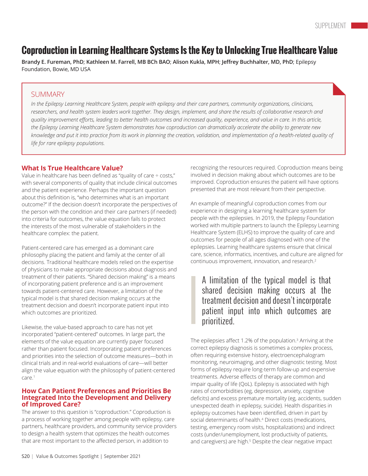# **Coproduction in Learning Healthcare Systems Is the Key to Unlocking True Healthcare Value**

**Brandy E. Fureman, PhD**; **Kathleen M. Farrell, MB BCh BAO**; **Alison Kukla, MPH**; **Jeffrey Buchhalter, MD, PhD**; Epilepsy Foundation, Bowie, MD USA

#### SUMMARY

In the Epilepsy Learning Healthcare System, people with epilepsy and their care partners, community organizations, clinicians, researchers, and health system leaders work together. They design, implement, and share the results of collaborative research and quality improvement efforts, leading to better health outcomes and increased quality, experience, and value in care. In this article, the Epilepsy Learning Healthcare System demonstrates how coproduction can dramatically accelerate the ability to generate new knowledge and put it into practice from its work in planning the creation, validation, and implementation of a health-related quality of *life for rare epilepsy populations.*

#### **What Is True Healthcare Value?**

Value in healthcare has been defined as "quality of care ÷ costs," with several components of quality that include clinical outcomes and the patient experience. Perhaps the important question about this definition is, "who determines what is an important outcome?" If the decision doesn't incorporate the perspectives of the person with the condition and their care partners (if needed) into criteria for outcomes, the value equation fails to protect the interests of the most vulnerable of stakeholders in the healthcare complex: the patient.

Patient-centered care has emerged as a dominant care philosophy placing the patient and family at the center of all decisions. Traditional healthcare models relied on the expertise of physicians to make appropriate decisions about diagnosis and treatment of their patients. "Shared decision making" is a means of incorporating patient preference and is an improvement towards patient-centered care. However, a limitation of the typical model is that shared decision making occurs at the treatment decision and doesn't incorporate patient input into which outcomes are prioritized.

Likewise, the value-based approach to care has not yet incorporated "patient-centered" outcomes. In large part, the elements of the value equation are currently payer focused rather than patient focused. Incorporating patient preferences and priorities into the selection of outcome measures—both in clinical trials and in real-world evaluations of care—will better align the value equation with the philosophy of patient-centered care.1

#### **How Can Patient Preferences and Priorities Be Integrated Into the Development and Delivery of Improved Care?**

The answer to this question is "coproduction." Coproduction is a process of working together among people with epilepsy, care partners, healthcare providers, and community service providers to design a health system that optimizes the health outcomes that are most important to the affected person, in addition to

recognizing the resources required. Coproduction means being involved in decision making about which outcomes are to be improved. Coproduction ensures the patient will have options presented that are most relevant from their perspective.

An example of meaningful coproduction comes from our experience in designing a learning healthcare system for people with the epilepsies. In 2019, the Epilepsy Foundation worked with multiple partners to launch the Epilepsy Learning Healthcare System (ELHS) to improve the quality of care and outcomes for people of all ages diagnosed with one of the epilepsies. Learning healthcare systems ensure that clinical care, science, informatics, incentives, and culture are aligned for continuous improvement, innovation, and research.2

### A limitation of the typical model is that shared decision making occurs at the treatment decision and doesn't incorporate patient input into which outcomes are prioritized.

The epilepsies affect 1.2% of the population. $^{\text{3}}$  Arriving at the correct epilepsy diagnosis is sometimes a complex process, often requiring extensive history, electroencephalogram monitoring, neuroimaging, and other diagnostic testing. Most forms of epilepsy require long-term follow-up and expensive treatments. Adverse effects of therapy are common and impair quality of life (QoL). Epilepsy is associated with high rates of comorbidities (eg, depression, anxiety, cognitive deficits) and excess premature mortality (eg, accidents, sudden unexpected death in epilepsy, suicide). Health disparities in epilepsy outcomes have been identified, driven in part by social determinants of health.4 Direct costs (medications, testing, emergency room visits, hospitalizations) and indirect costs (under/unemployment, lost productivity of patients, and caregivers) are high.<sup>5</sup> Despite the clear negative impact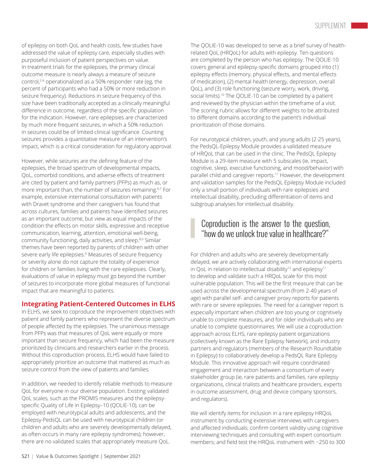of epilepsy on both QoL and health costs, few studies have addressed the value of epilepsy care, especially studies with purposeful inclusion of patient perspectives on value. In treatment trials for the epilepsies, the primary clinical outcome measure is nearly always a measure of seizure control,<sup>2-6</sup> operationalized as a 50% responder rate (eg, the percent of participants who had a 50% or more reduction in seizure frequency). Reductions in seizure frequency of this size have been traditionally accepted as a clinically meaningful difference in outcome, regardless of the specific population for the indication. However, rare epilepsies are characterized by much more frequent seizures, in which a 50% reduction in seizures could be of limited clinical significance. Counting seizures provides a quantitative measure of an intervention's impact, which is a critical consideration for regulatory approval.

However, while seizures are the defining feature of the epilepsies, the broad spectrum of developmental impacts, QoL, comorbid conditions, and adverse effects of treatment are cited by patient and family partners (PFPs) as much as, or more important than, the number of seizures remaining.<sup>6,7</sup> For example, extensive international consultation with patients with Dravet syndrome and their caregivers has found that across cultures, families and patients have identified seizures as an important outcome, but view as equal impacts of the condition the effects on motor skills, expressive and receptive communication, learning, attention, emotional well-being, community functioning, daily activities, and sleep.8,9 Similar themes have been reported by parents of children with other severe early life epilepsies.<sup>6</sup> Measures of seizure frequency or severity alone do not capture the totality of experience for children or families living with the rare epilepsies. Clearly, evaluations of value in epilepsy must go beyond the number of seizures to incorporate more global measures of functional impact that are meaningful to patients.

#### **Integrating Patient-Centered Outcomes in ELHS**

In ELHS, we seek to coproduce the improvement objectives with patient and family partners who represent the diverse spectrum of people affected by the epilepsies. The unanimous message from PFPs was that measures of QoL were equally or more important than seizure frequency, which had been the measure prioritized by clinicians and researchers earlier in the process. Without this coproduction process, ELHS would have failed to appropriately prioritize an outcome that mattered as much as seizure control from the view of patients and families.

In addition, we needed to identify reliable methods to measure QoL for everyone in our diverse population. Existing validated QoL scales, such as the PROMIS measures and the epilepsyspecific Quality of Life in Epilepsy–10 (QOLIE-10), can be employed with neurotypical adults and adolescents, and the Epilepsy-PedsQL can be used with neurotypical children (or children and adults who are severely developmentally delayed, as often occurs in many rare epilepsy syndromes); however, there are no validated scales that appropriately measure QoL.

The QOLIE-10 was developed to serve as a brief survey of healthrelated QoL (HRQoL) for adults with epilepsy. Ten questions are completed by the person who has epilepsy. The QOLIE-10 covers general and epilepsy-specific domains grouped into (1) epilepsy effects (memory, physical effects, and mental effects of medication), (2) mental health (energy, depression, overall QoL), and (3) role functioning (seizure worry, work, driving, social limits).<sup>10</sup> The QOLIE-10 can be completed by a patient and reviewed by the physician within the timeframe of a visit. The scoring rubric allows for different weights to be attributed to different domains according to the patient's individual prioritization of those domains.

For neurotypical children, youth, and young adults (2-25 years), the PedsQL-Epilepsy Module provides a validated measure of HRQoL that can be used in the clinic. The PedsQL Epilepsy Module is a 29-item measure with 5 subscales (ie, impact, cognitive, sleep, executive functioning, and mood/behavior) with parallel child and caregiver reports.11 However, the development and validation samples for the PedsQL Epilepsy Module included only a small portion of individuals with rare epilepsies and intellectual disability, precluding differentiation of items and subgroup analyses for intellectual disability.

### Coproduction is the answer to the question, "how do we unlock true value in healthcare?"

For children and adults who are severely developmentally delayed, we are actively collaborating with international experts in OoL in relation to intellectual disability<sup>12</sup> and epilepsy<sup>11</sup> to develop and validate such a HRQoL scale for this most vulnerable population. This will be the first measure that can be used across the developmental spectrum (from 2-40 years of age) with parallel self- and caregiver proxy reports for patients with rare or severe epilepsies. The need for a caregiver report is especially important when children are too young or cognitively unable to complete measures, and for older individuals who are unable to complete questionnaires. We will use a coproduction approach across ELHS, rare epilepsy patient organizations (collectively known as the Rare Epilepsy Network), and industry partners and regulators (members of the Research Roundtable in Epilepsy) to collaboratively develop a PedsQL Rare Epilepsy Module. This innovative approach will require coordinated engagement and interaction between a consortium of every stakeholder group (ie, rare patients and families, rare epilepsy organizations, clinical trialists and healthcare providers, experts in outcome assessment, drug and device company sponsors, and regulators).

We will identify items for inclusion in a rare epilepsy HRQoL instrument by conducting extensive interviews with caregivers and affected individuals; confirm content validity using cognitive interviewing techniques and consulting with expert consortium members; and field test the HRQoL instrument with ~250 to 300